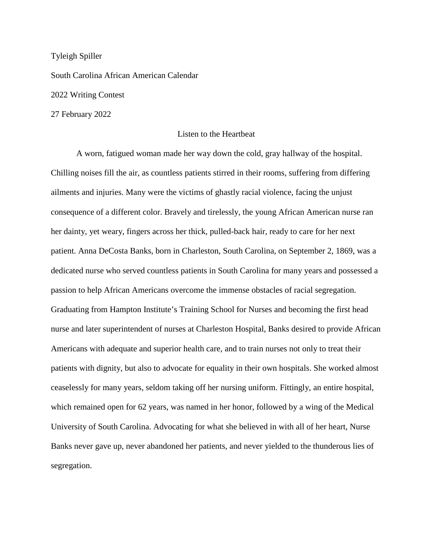Tyleigh Spiller South Carolina African American Calendar 2022 Writing Contest 27 February 2022

## Listen to the Heartbeat

A worn, fatigued woman made her way down the cold, gray hallway of the hospital. Chilling noises fill the air, as countless patients stirred in their rooms, suffering from differing ailments and injuries. Many were the victims of ghastly racial violence, facing the unjust consequence of a different color. Bravely and tirelessly, the young African American nurse ran her dainty, yet weary, fingers across her thick, pulled-back hair, ready to care for her next patient. Anna DeCosta Banks, born in Charleston, South Carolina, on September 2, 1869, was a dedicated nurse who served countless patients in South Carolina for many years and possessed a passion to help African Americans overcome the immense obstacles of racial segregation. Graduating from Hampton Institute's Training School for Nurses and becoming the first head nurse and later superintendent of nurses at Charleston Hospital, Banks desired to provide African Americans with adequate and superior health care, and to train nurses not only to treat their patients with dignity, but also to advocate for equality in their own hospitals. She worked almost ceaselessly for many years, seldom taking off her nursing uniform. Fittingly, an entire hospital, which remained open for 62 years, was named in her honor, followed by a wing of the Medical University of South Carolina. Advocating for what she believed in with all of her heart, Nurse Banks never gave up, never abandoned her patients, and never yielded to the thunderous lies of segregation.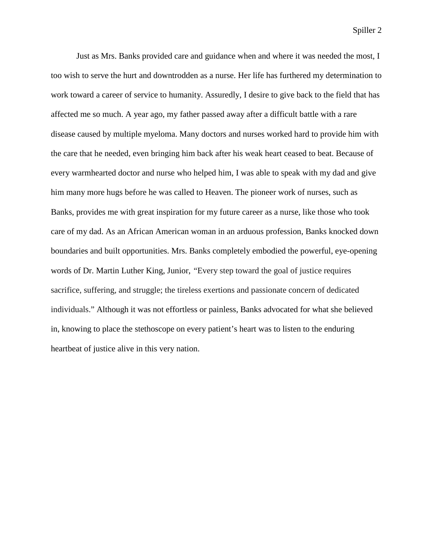Spiller 2

Just as Mrs. Banks provided care and guidance when and where it was needed the most, I too wish to serve the hurt and downtrodden as a nurse. Her life has furthered my determination to work toward a career of service to humanity. Assuredly, I desire to give back to the field that has affected me so much. A year ago, my father passed away after a difficult battle with a rare disease caused by multiple myeloma. Many doctors and nurses worked hard to provide him with the care that he needed, even bringing him back after his weak heart ceased to beat. Because of every warmhearted doctor and nurse who helped him, I was able to speak with my dad and give him many more hugs before he was called to Heaven. The pioneer work of nurses, such as Banks, provides me with great inspiration for my future career as a nurse, like those who took care of my dad. As an African American woman in an arduous profession, Banks knocked down boundaries and built opportunities. Mrs. Banks completely embodied the powerful, eye-opening words of Dr. Martin Luther King, Junior, "Every step toward the goal of justice requires sacrifice, suffering, and struggle; the tireless exertions and passionate concern of dedicated individuals." Although it was not effortless or painless, Banks advocated for what she believed in, knowing to place the stethoscope on every patient's heart was to listen to the enduring heartbeat of justice alive in this very nation.